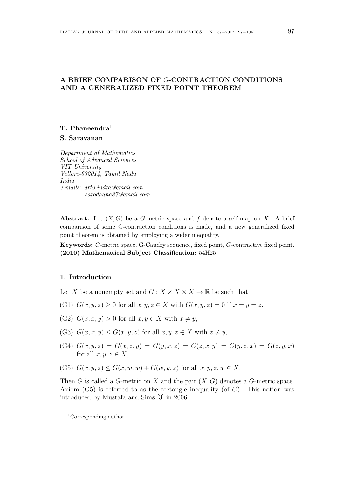# **A BRIEF COMPARISON OF** *G***-CONTRACTION CONDITIONS AND A GENERALIZED FIXED POINT THEOREM**

## **T. Phaneendra**<sup>1</sup>

**S. Saravanan**

*Department of Mathematics School of Advanced Sciences VIT University Vellore-632014, Tamil Nadu India e-mails: drtp.indra@gmail.com sarodhana87@gmail.com*

**Abstract.** Let (*X, G*) be a *G*-metric space and *f* denote a self-map on *X*. A brief comparison of some G-contraction conditions is made, and a new generalized fixed point theorem is obtained by employing a wider inequality.

**Keywords:** *G*-metric space, G-Cauchy sequence, fixed point, *G*-contractive fixed point. **(2010) Mathematical Subject Classification:** 54H25.

### **1. Introduction**

Let *X* be a nonempty set and  $G: X \times X \times X \to \mathbb{R}$  be such that

- (G1)  $G(x, y, z) > 0$  for all  $x, y, z \in X$  with  $G(x, y, z) = 0$  if  $x = y = z$ ,
- (G2)  $G(x, x, y) > 0$  for all  $x, y \in X$  with  $x \neq y$ ,
- (G3)  $G(x, x, y) \leq G(x, y, z)$  for all  $x, y, z \in X$  with  $z \neq y$ ,
- (G4) *G*(*x, y, z*) = *G*(*x, z, y*) = *G*(*y, x, z*) = *G*(*z, x, y*) = *G*(*y, z, x*) = *G*(*z, y, x*) for all  $x, y, z \in X$ ,
- (G5)  $G(x, y, z) \leq G(x, w, w) + G(w, y, z)$  for all  $x, y, z, w \in X$ .

Then *G* is called a *G*-metric on *X* and the pair (*X, G*) denotes a *G*-metric space. Axiom (G5) is referred to as the rectangle inequality (of *G*). This notion was introduced by Mustafa and Sims [3] in 2006.

<sup>1</sup>Corresponding author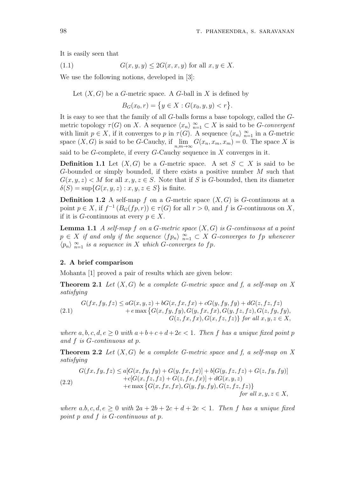It is easily seen that

(1.1) 
$$
G(x, y, y) \le 2G(x, x, y) \text{ for all } x, y \in X.
$$

We use the following notions, developed in [3]:

Let  $(X, G)$  be a *G*-metric space. A *G*-ball in *X* is defined by

 $B_G(x_0, r) = \{ y \in X : G(x_0, y, y) < r \}.$ 

It is easy to see that the family of all *G*-balls forms a base topology, called the *G*metric topology  $\tau(G)$  on *X*. A sequence  $\langle x_n \rangle_{n=1}^{\infty} \subset X$  is said to be *G*-*convergent* with limit  $p \in X$ , if it converges to  $p$  in  $\tau(G)$ . A sequence  $\langle x_n \rangle_{n=1}^{\infty}$  in a *G*-metric space  $(X, G)$  is said to be *G*-Cauchy, if lim *n,m→∞*  $G(x_n, x_m, x_m) = 0$ . The space X is said to be *G*-complete, if every *G*-Cauchy sequence in *X* converges in it.

**Definition 1.1** Let  $(X, G)$  be a *G*-metric space. A set  $S \subset X$  is said to be *G*-bounded or simply bounded, if there exists a positive number *M* such that  $G(x, y, z) < M$  for all  $x, y, z \in S$ . Note that if *S* is *G*-bounded, then its diameter  $\delta(S) = \sup\{G(x, y, z) : x, y, z \in S\}$  is finite.

**Definition 1.2** A self-map  $f$  on a  $G$ -metric space  $(X, G)$  is  $G$ -continuous at a point  $p \in X$ , if  $f^{-1}(B_G(fp, r)) \in \tau(G)$  for all  $r > 0$ , and  $f$  is *G*-continuous on  $X$ , if it is *G*-continuous at every  $p \in X$ .

**Lemma 1.1** *A self-map f on a G-metric space* (*X, G*) *is G-continuous at a point*  $p \in X$  *if and only if the sequence*  $\langle fp_n \rangle \frac{\infty}{n=1} \subset X$  *G*-converges to  $fp$  whenever  $\langle p_n \rangle \frac{\infty}{n=1}$  *is a sequence in X which G-converges to fp.* 

#### **2. A brief comparison**

Mohanta [1] proved a pair of results which are given below:

**Theorem 2.1** *Let* (*X, G*) *be a complete G-metric space and f, a self-map on X satisfying*

(2.1) 
$$
G(fx, fy, fz) \le aG(x, y, z) + bG(x, fx, fx) + cG(y, fy, fy) + dG(z, fz, fz)
$$

$$
+ e \max \{G(x, fy, fy), G(y, fx, fx), G(y, fz, fz), G(z, fy, fy), G(z, fx, fx), G(x, fz, fz)\} \text{ for all } x, y, z \in X,
$$

*where*  $a, b, c, d, e \geq 0$  *with*  $a+b+c+d+2e \leq 1$ . Then f has a unique fixed point  $p$ *and f is G-continuous at p.*

**Theorem 2.2** *Let* (*X, G*) *be a complete G-metric space and f, a self-map on X satisfying*

(2.2)  
\n
$$
G(fx, fy, fz) \le a[G(x, fy, fy) + G(y, fx, fx)] + b[G(y, fz, fz) + G(z, fy, fy)] + c[G(x, fz, fz) + G(z, fx, fx)] + dG(x, y, z) + e \max \{G(x, fx, fx), G(y, fy, fy), G(z, fz, fz)\}
$$
\n
$$
for all x, y, z \in X,
$$

*where*  $a.b,c,d,e \geq 0$  *with*  $2a + 2b + 2c + d + 2e < 1$ . Then f has a unique fixed *point p and f is G-continuous at p.*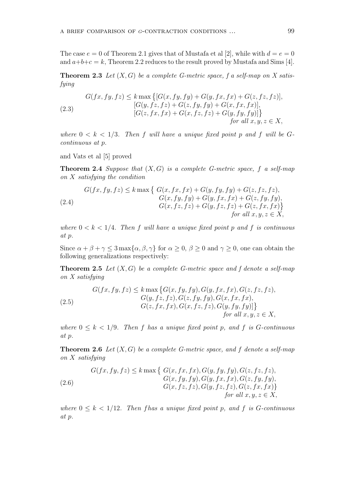The case  $e = 0$  of Theorem 2.1 gives that of Mustafa et al [2], while with  $d = e = 0$ and  $a+b+c=k$ , Theorem 2.2 reduces to the result proved by Mustafa and Sims [4].

**Theorem 2.3** *Let* (*X, G*) *be a complete G-metric space, f a self-map on X satisfying*

(2.3)  
\n
$$
G(fx, fy, fz) \leq k \max \{[G(x, fy, fy) + G(y, fx, fx) + G(z, fz, fz)], [G(y, fz, fz) + G(z, fy, fy) + G(x, fx, fx)], [G(z, fx, fx) + G(x, fz, fz) + G(y, fy, fy)]\}
$$
\n
$$
[G(x, fx, fx) + G(x, fz, fz) + G(y, fy, fy)]\}
$$
\n
$$
for all x, y, z \in X,
$$

where  $0 \leq k \leq 1/3$ . Then f will have a unique fixed point p and f will be  $G$ *continuous at p.*

and Vats et al [5] proved

**Theorem 2.4** *Suppose that* (*X, G*) *is a complete G-metric space, f a self-map on X satisfying the condition*

$$
G(fx, fy, fz) \le k \max \left\{ \begin{array}{l} G(x, fx, fx) + G(y, fy, fy) + G(z, fz, fz), \\ G(x, fy, fy) + G(y, fx, fx) + G(z, fy, fy), \\ G(x, fz, fz) + G(y, fz, fz) + G(z, fx, fx) \right\} \\ for all x, y, z \in X, \end{array} \right.
$$

*where*  $0 \lt k \lt 1/4$ *. Then*  $f$  *will have a unique fixed point*  $p$  *and*  $f$  *is continuous at p.*

Since  $\alpha + \beta + \gamma \leq 3 \max{\alpha, \beta, \gamma}$  for  $\alpha \geq 0$ ,  $\beta \geq 0$  and  $\gamma \geq 0$ , one can obtain the following generalizations respectively:

**Theorem 2.5** *Let* (*X, G*) *be a complete G-metric space and f denote a self-map on X satisfying*

(2.5) 
$$
G(fx, fy, fz) \leq k \max \{G(x, fy, fy), G(y, fx, fx), G(z, fz, fz), G(y, fz, fz), G(z, fx, fx), G(z, fx, fx), G(z, fx, fx), G(z, fx, fx), G(x, fz, fz), G(y, fy, fy)]\}
$$
  
for all  $x, y, z \in X$ ,

*where*  $0 \leq k \leq 1/9$ *. Then f has a unique fixed point p, and f is G-continuous at p.*

**Theorem 2.6** *Let* (*X, G*) *be a complete G-metric space, and f denote a self-map on X satisfying*

(2.6) 
$$
G(fx, fy, fz) \leq k \max \left\{ \begin{array}{l} G(x, fx, fx), G(y, fy, fy), G(z, fz, fz), \\ G(x, fy, fy), G(y, fx, fx), G(z, fy, fy), \\ G(x, fz, fz), G(y, fz, fz), G(z, fx, fx) \right\} \\ for all x, y, z \in X, \end{array} \right.
$$

*where*  $0 \leq k \leq 1/12$ *. Then f has a unique fixed point p, and f is G*-*continuous at p.*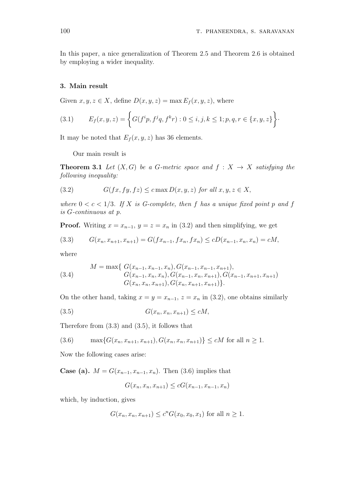In this paper, a nice generalization of Theorem 2.5 and Theorem 2.6 is obtained by employing a wider inequality.

#### **3. Main result**

Given  $x, y, z \in X$ , define  $D(x, y, z) = \max E_f(x, y, z)$ , where

(3.1) 
$$
E_f(x, y, z) = \left\{ G(f^i p, f^j q, f^k r) : 0 \le i, j, k \le 1; p, q, r \in \{x, y, z\} \right\}.
$$

It may be noted that  $E_f(x, y, z)$  has 36 elements.

Our main result is

**Theorem 3.1** *Let*  $(X, G)$  *be a G-metric space and*  $f : X \rightarrow X$  *satisfying the following inequality:*

(3.2) 
$$
G(fx, fy, fz) \leq c \max D(x, y, z) \text{ for all } x, y, z \in X,
$$

*where*  $0 < c < 1/3$ *. If X is G-complete, then f has a unique fixed point p and f is G-continuous at p.*

**Proof.** Writing  $x = x_{n-1}$ ,  $y = z = x_n$  in (3.2) and then simplifying, we get

$$
(3.3) \tG(x_n, x_{n+1}, x_{n+1}) = G(fx_{n-1}, fx_n, fx_n) \le cD(x_{n-1}, x_n, x_n) = cM,
$$

where

(3.4) 
$$
M = \max\{G(x_{n-1}, x_{n-1}, x_n), G(x_{n-1}, x_{n-1}, x_{n+1}),
$$

$$
G(x_{n-1}, x_n, x_n), G(x_{n-1}, x_n, x_{n+1}), G(x_{n-1}, x_{n+1}, x_{n+1})
$$

$$
G(x_n, x_n, x_{n+1}), G(x_n, x_{n+1}, x_{n+1})\}.
$$

On the other hand, taking  $x = y = x_{n-1}$ ,  $z = x_n$  in (3.2), one obtains similarly

$$
(3.5) \tG(x_n, x_n, x_{n+1}) \le cM,
$$

Therefore from (3.3) and (3.5), it follows that

$$
(3.6) \qquad \max\{G(x_n, x_{n+1}, x_{n+1}), G(x_n, x_n, x_{n+1})\} \le cM \text{ for all } n \ge 1.
$$

Now the following cases arise:

**Case (a).**  $M = G(x_{n-1}, x_{n-1}, x_n)$ . Then (3.6) implies that

$$
G(x_n, x_n, x_{n+1}) \le cG(x_{n-1}, x_{n-1}, x_n)
$$

which, by induction, gives

$$
G(x_n, x_n, x_{n+1}) \le c^n G(x_0, x_0, x_1)
$$
 for all  $n \ge 1$ .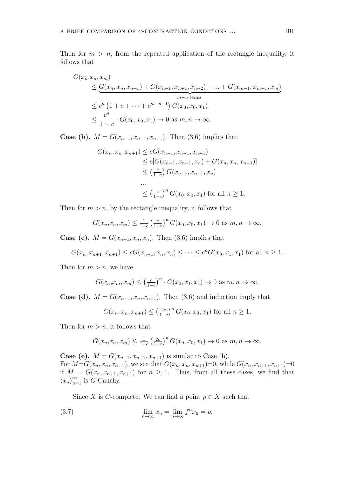Then for  $m > n$ , from the repeated application of the rectangle inequality, it follows that

$$
G(x_n, x_n, x_m)
$$
  
\n
$$
\leq \underbrace{G(x_n, x_n, x_{n+1}) + G(x_{n+1}, x_{n+1}, x_{n+2}) + \dots + G(x_{m-1}, x_{m-1}, x_m)}_{m-n \text{ terms}}
$$
  
\n
$$
\leq c^n \left(1 + c + \dots + c^{m-n-1}\right) G(x_0, x_0, x_1)
$$
  
\n
$$
\leq \frac{c^n}{1 - c} \cdot G(x_0, x_0, x_1) \to 0 \text{ as } m, n \to \infty.
$$

**Case (b).**  $M = G(x_{n-1}, x_{n-1}, x_{n+1})$ . Then (3.6) implies that

$$
G(x_n, x_n, x_{n+1}) \le cG(x_{n-1}, x_{n-1}, x_{n+1})
$$
  
\n
$$
\le c[G(x_{n-1}, x_{n-1}, x_n) + G(x_n, x_n, x_{n+1})]
$$
  
\n
$$
\le \left(\frac{c}{1-c}\right) G(x_{n-1}, x_{n-1}, x_n)
$$
  
\n...  
\n
$$
\le \left(\frac{c}{1-c}\right)^n G(x_0, x_0, x_1) \text{ for all } n \ge 1,
$$

Then for  $m > n$ , by the rectangle inequality, it follows that

$$
G(x_n, x_n, x_m) \le \frac{1}{1-c} \left(\frac{c}{1-c}\right)^n G(x_0, x_0, x_1) \to 0 \text{ as } m, n \to \infty.
$$

**Case (c).**  $M = G(x_{n-1}, x_n, x_n)$ . Then (3.6) implies that

$$
G(x_n, x_{n+1}, x_{n+1}) \le cG(x_{n-1}, x_n, x_n) \le \dots \le c^n G(x_0, x_1, x_1)
$$
 for all  $n \ge 1$ .

Then for  $m > n$ , we have

$$
G(x_n, x_m, x_m) \leq \left(\frac{c}{1-c}\right)^n \cdot G(x_0, x_1, x_1) \to 0 \text{ as } m, n \to \infty.
$$

**Case (d).**  $M = G(x_{n-1}, x_n, x_{n+1})$ . Then (3.6) and induction imply that

$$
G(x_n, x_n, x_{n+1}) \le \left(\frac{2c}{1-c}\right)^n G(x_0, x_0, x_1)
$$
 for all  $n \ge 1$ ,

Then for  $m > n$ , it follows that

$$
G(x_n, x_n, x_m) \leq \frac{1}{1-c} \left(\frac{2c}{1-c}\right)^n G(x_0, x_0, x_1) \to 0 \text{ as } m, n \to \infty.
$$

**Case (e).**  $M = G(x_{n-1}, x_{n+1}, x_{n+1})$  is similar to Case (b). For  $M=G(x_n, x_n, x_{n+1})$ , we see that  $G(x_n, x_n, x_{n+1})=0$ , while  $G(x_n, x_{n+1}, x_{n+1})=0$ if  $M = G(x_n, x_{n+1}, x_{n+1})$  for  $n \ge 1$ . Thus, from all these cases, we find that  $\langle x_n \rangle_{n=1}^{\infty}$  is *G*-Cauchy.

Since *X* is *G*-complete. We can find a point  $p \in X$  such that

(3.7) 
$$
\lim_{n \to \infty} x_n = \lim_{n \to \infty} f^n x_0 = p.
$$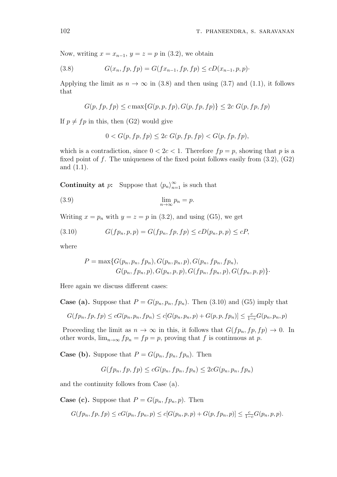Now, writing  $x = x_{n-1}$ ,  $y = z = p$  in (3.2), we obtain

(3.8) 
$$
G(x_n, fp, fp) = G(fx_{n-1}, fp, fp) \le cD(x_{n-1}, p, p).
$$

Applying the limit as  $n \to \infty$  in (3.8) and then using (3.7) and (1.1), it follows that

$$
G(p, fp, fp) \le c \max\{G(p, p, fp), G(p, fp, fp)\}\le 2c G(p, fp, fp)
$$

If  $p \neq fp$  in this, then (G2) would give

$$
0 < G(p, fp, fp) \leq 2c \ G(p, fp, fp) < G(p, fp, fp),
$$

which is a contradiction, since  $0 < 2c < 1$ . Therefore  $fp = p$ , showing that p is a fixed point of *f*. The uniqueness of the fixed point follows easily from (3.2), (G2) and (1.1).

**Continuity at** *p***:** Suppose that  $\langle p_n \rangle_{n=1}^{\infty}$  is such that

$$
\lim_{n \to \infty} p_n = p.
$$

Writing  $x = p_n$  with  $y = z = p$  in (3.2), and using (G5), we get

(3.10) 
$$
G(fp_n, p, p) = G(fp_n, fp, fp) \le cD(p_n, p, p) \le cP,
$$

where

$$
P = \max\{G(p_n, p_n, fp_n), G(p_n, p_n, p), G(p_n, fp_n, fp_n),\n \}G(p_n, fp_n, p), G(p_n, p, p), G(fp_n, fp_n, p), G(fp_n, p, p)\}.
$$

Here again we discuss different cases:

**Case (a).** Suppose that  $P = G(p_n, p_n, fp_n)$ . Then (3.10) and (G5) imply that

$$
G(fp_n, fp, fp) \le cG(p_n, p_n, fp_n) \le c[G(p_n, p_n, p) + G(p, p, fp_n)] \le \frac{c}{1-c}G(p_n, p_n, p)
$$

Proceeding the limit as  $n \to \infty$  in this, it follows that  $G(fp_n, fp, fp) \to 0$ . In other words,  $\lim_{n\to\infty} f p_n = f p = p$ , proving that *f* is continuous at *p*.

**Case (b).** Suppose that  $P = G(p_n, fp_n, fp_n)$ . Then

$$
G(fp_n, fp, fp) \leq cG(p_n, fp_n, fp_n) \leq 2cG(p_n, p_n, fp_n)
$$

and the continuity follows from Case (a).

**Case (c).** Suppose that  $P = G(p_n, fp_n, p)$ . Then

$$
G(fp_n, fp, fp) \le cG(p_n, fp_n, p) \le c[G(p_n, p, p) + G(p, fp_n, p)] \le \frac{c}{1-c}G(p_n, p, p).
$$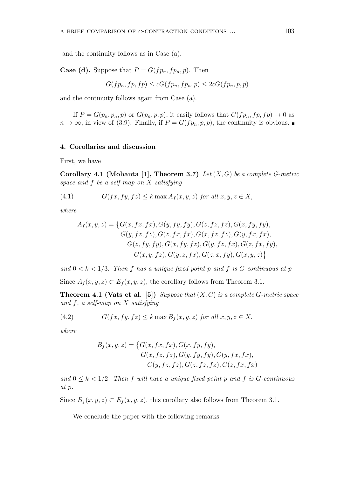and the continuity follows as in Case (a).

**Case (d).** Suppose that  $P = G(fp_n, fp_n, p)$ . Then

$$
G(fp_n, fp, fp) \leq cG(fp_n, fp_n, p) \leq 2cG(fp_n, p, p)
$$

and the continuity follows again from Case (a).

If  $P = G(p_n, p_n, p)$  or  $G(p_n, p, p)$ , it easily follows that  $G(fp_n, fp, fp) \rightarrow 0$  as  $n \to \infty$ , in view of (3.9). Finally, if  $P = G(fp_n, p, p)$ , the continuity is obvious.

#### **4. Corollaries and discussion**

First, we have

**Corollary 4.1 (Mohanta [1], Theorem 3.7)** *Let* (*X, G*) *be a complete G-metric space and f be a self-map on X satisfying*

(4.1) 
$$
G(fx, fy, fz) \le k \max A_f(x, y, z) \text{ for all } x, y, z \in X,
$$

*where*

$$
A_f(x, y, z) = \{G(x, fx, fx), G(y, fy, fy), G(z, fz, fz), G(x, fy, fy),G(y, fz, fz), G(z, fx, fx), G(x, fz, fz), G(y, fx, fx),G(z, fy, fy), G(x, fy, fz), G(y, fz, fx), G(z, fx, fy),G(x, y, fz), G(y, z, fx), G(z, x, fy), G(x, y, z)\}
$$

and  $0 < k < 1/3$ . Then f has a unique fixed point p and f is G-continuous at p Since  $A_f(x, y, z) \subset E_f(x, y, z)$ , the corollary follows from Theorem 3.1.

**Theorem 4.1 (Vats et al. [5])** *Suppose that* (*X, G*) *is a complete G-metric space and f, a self-map on X satisfying*

(4.2) 
$$
G(fx, fy, fz) \le k \max B_f(x, y, z) \text{ for all } x, y, z \in X,
$$

*where*

$$
B_f(x, y, z) = \{G(x, fx, fx), G(x, fy, fy),
$$
  
\n
$$
G(x, fz, fz), G(y, fy, fy), G(y, fx, fx),
$$
  
\n
$$
G(y, fz, fz), G(z, fz, fz), G(z, fx, fx))
$$

*and* 0 *≤ k <* 1*/*2*. Then f will have a unique fixed point p and f is G-continuous at p.*

Since  $B_f(x, y, z) \subset E_f(x, y, z)$ , this corollary also follows from Theorem 3.1.

We conclude the paper with the following remarks: